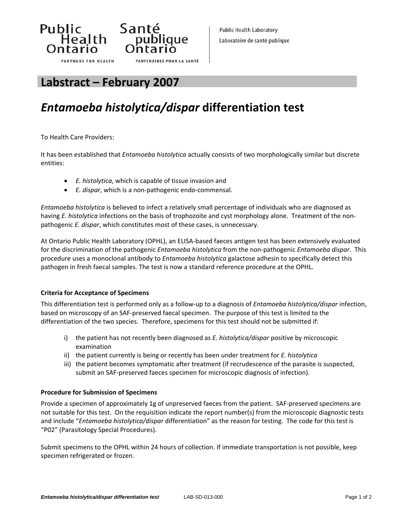



## **Labstract – February 2007**

# *Entamoeba histolytica/dispar* **differentiation test**

**PARTENAIRES POUR LA SANTÉ** 

To Health Care Providers:

It has been established that *Entamoeba histolytica* actually consists of two morphologically similar but discrete entities:

• *E. histolytica*, which is capable of tissue invasion and

Santé

bance<br>
publique<br>
Ontario

• *E. dispar*, which is a non‐pathogenic endo‐commensal.

*Entamoeba histolytica* is believed to infect a relatively small percentage of individuals who are diagnosed as having *E. histolytica* infections on the basis of trophozoite and cyst morphology alone. Treatment of the non‐ pathogenic *E. dispar*, which constitutes most of these cases, is unnecessary.

At Ontario Public Health Laboratory (OPHL), an ELISA‐based faeces antigen test has been extensively evaluated for the discrimination of the pathogenic *Entamoeba histolytica* from the non‐pathogenic *Entamoeba dispar*. This procedure uses a monoclonal antibody to *Entamoeba histolytica* galactose adhesin to specifically detect this pathogen in fresh faecal samples. The test is now a standard reference procedure at the OPHL.

#### **Criteria for Acceptance of Specimens**

This differentiation test is performed only as a follow‐up to a diagnosis of *Entamoeba histolytica/dispar* infection, based on microscopy of an SAF‐preserved faecal specimen. The purpose of this test is limited to the differentiation of the two species. Therefore, specimens for this test should not be submitted if:

- i) the patient has not recently been diagnosed as *E. histolytica/dispar* positive by microscopic examination
- ii) the patient currently is being or recently has been under treatment for *E. histolytica*
- iii) the patient becomes symptomatic after treatment (if recrudescence of the parasite is suspected, submit an SAF‐preserved faeces specimen for microscopic diagnosis of infection).

#### **Procedure for Submission of Specimens**

Provide a specimen of approximately 1g of unpreserved faeces from the patient. SAF-preserved specimens are not suitable for this test. On the requisition indicate the report number(s) from the microscopic diagnostic tests and include "*Entamoeba histolytica/dispar* differentiation" as the reason for testing. The code for this test is "P02" (Parasitology Special Procedures).

Submit specimens to the OPHL within 24 hours of collection. If immediate transportation is not possible, keep specimen refrigerated or frozen.